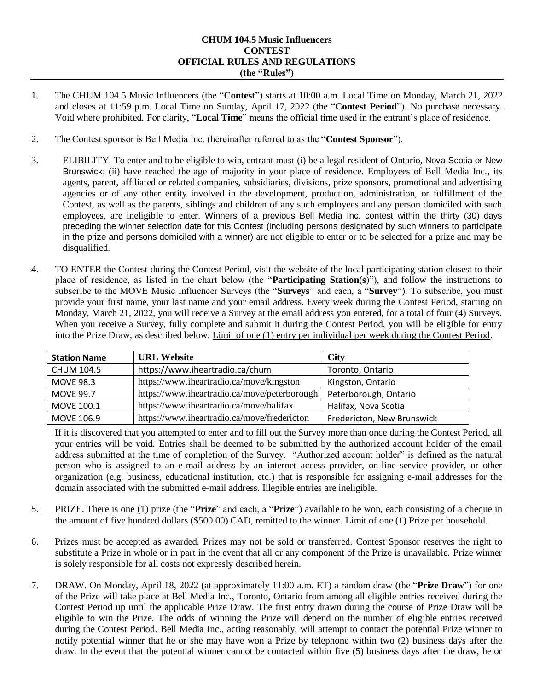## **CHUM 104.5 Music Influencers CONTEST OFFICIAL RULES AND REGULATIONS (the "Rules")**

- 1. The CHUM 104.5 Music Influencers (the "**Contest**") starts at 10:00 a.m. Local Time on Monday, March 21, 2022 and closes at 11:59 p.m. Local Time on Sunday, April 17, 2022 (the "**Contest Period**"). No purchase necessary. Void where prohibited. For clarity, "**Local Time**" means the official time used in the entrant's place of residence.
- 2. The Contest sponsor is Bell Media Inc. (hereinafter referred to as the "**Contest Sponsor**").
- 3. ELIBILITY. To enter and to be eligible to win, entrant must (i) be a legal resident of Ontario, Nova Scotia or New Brunswick; (ii) have reached the age of majority in your place of residence. Employees of Bell Media Inc., its agents, parent, affiliated or related companies, subsidiaries, divisions, prize sponsors, promotional and advertising agencies or of any other entity involved in the development, production, administration, or fulfillment of the Contest, as well as the parents, siblings and children of any such employees and any person domiciled with such employees, are ineligible to enter. Winners of a previous Bell Media Inc. contest within the thirty (30) days preceding the winner selection date for this Contest (including persons designated by such winners to participate in the prize and persons domiciled with a winner) are not eligible to enter or to be selected for a prize and may be disqualified.
- 4. TO ENTER the Contest during the Contest Period, visit the website of the local participating station closest to their place of residence, as listed in the chart below (the "**Participating Station**(**s**)"), and follow the instructions to subscribe to the MOVE Music Influencer Surveys (the "**Surveys**" and each, a "**Survey**"). To subscribe, you must provide your first name, your last name and your email address. Every week during the Contest Period, starting on Monday, March 21, 2022, you will receive a Survey at the email address you entered, for a total of four (4) Surveys. When you receive a Survey, fully complete and submit it during the Contest Period, you will be eligible for entry into the Prize Draw, as described below. Limit of one (1) entry per individual per week during the Contest Period.

| <b>Station Name</b> | <b>URL Website</b>                           | <b>City</b>                |
|---------------------|----------------------------------------------|----------------------------|
| <b>CHUM 104.5</b>   | https://www.iheartradio.ca/chum              | Toronto, Ontario           |
| <b>MOVE 98.3</b>    | https://www.iheartradio.ca/move/kingston     | Kingston, Ontario          |
| <b>MOVE 99.7</b>    | https://www.iheartradio.ca/move/peterborough | Peterborough, Ontario      |
| MOVE 100.1          | https://www.iheartradio.ca/move/halifax      | Halifax, Nova Scotia       |
| MOVE 106.9          | https://www.iheartradio.ca/move/fredericton  | Fredericton, New Brunswick |

If it is discovered that you attempted to enter and to fill out the Survey more than once during the Contest Period, all your entries will be void. Entries shall be deemed to be submitted by the authorized account holder of the email address submitted at the time of completion of the Survey. "Authorized account holder" is defined as the natural person who is assigned to an e-mail address by an internet access provider, on-line service provider, or other organization (e.g. business, educational institution, etc.) that is responsible for assigning e-mail addresses for the domain associated with the submitted e-mail address. Illegible entries are ineligible.

- 5. PRIZE. There is one (1) prize (the "**Prize**" and each, a "**Prize**") available to be won, each consisting of a cheque in the amount of five hundred dollars (\$500.00) CAD, remitted to the winner. Limit of one (1) Prize per household.
- 6. Prizes must be accepted as awarded. Prizes may not be sold or transferred. Contest Sponsor reserves the right to substitute a Prize in whole or in part in the event that all or any component of the Prize is unavailable. Prize winner is solely responsible for all costs not expressly described herein.
- 7. DRAW. On Monday, April 18, 2022 (at approximately 11:00 a.m. ET) a random draw (the "**Prize Draw**") for one of the Prize will take place at Bell Media Inc., Toronto, Ontario from among all eligible entries received during the Contest Period up until the applicable Prize Draw. The first entry drawn during the course of Prize Draw will be eligible to win the Prize. The odds of winning the Prize will depend on the number of eligible entries received during the Contest Period. Bell Media Inc., acting reasonably, will attempt to contact the potential Prize winner to notify potential winner that he or she may have won a Prize by telephone within two (2) business days after the draw. In the event that the potential winner cannot be contacted within five (5) business days after the draw, he or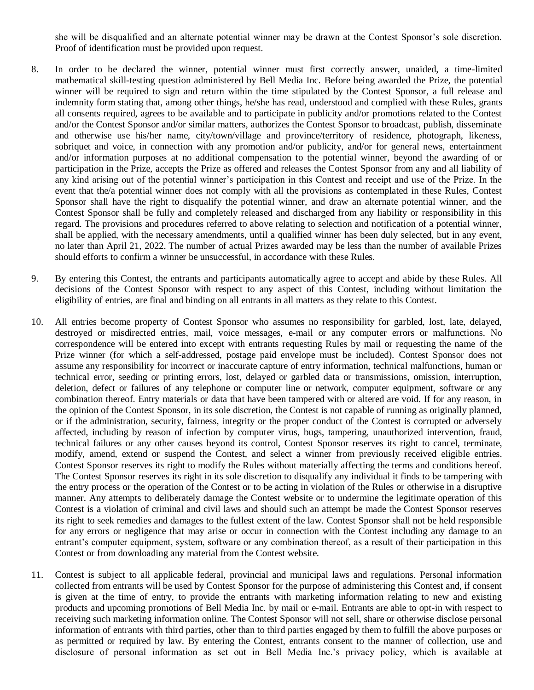she will be disqualified and an alternate potential winner may be drawn at the Contest Sponsor's sole discretion. Proof of identification must be provided upon request.

- 8. In order to be declared the winner, potential winner must first correctly answer, unaided, a time-limited mathematical skill-testing question administered by Bell Media Inc. Before being awarded the Prize, the potential winner will be required to sign and return within the time stipulated by the Contest Sponsor, a full release and indemnity form stating that, among other things, he/she has read, understood and complied with these Rules, grants all consents required, agrees to be available and to participate in publicity and/or promotions related to the Contest and/or the Contest Sponsor and/or similar matters, authorizes the Contest Sponsor to broadcast, publish, disseminate and otherwise use his/her name, city/town/village and province/territory of residence, photograph, likeness, sobriquet and voice, in connection with any promotion and/or publicity, and/or for general news, entertainment and/or information purposes at no additional compensation to the potential winner, beyond the awarding of or participation in the Prize, accepts the Prize as offered and releases the Contest Sponsor from any and all liability of any kind arising out of the potential winner's participation in this Contest and receipt and use of the Prize. In the event that the/a potential winner does not comply with all the provisions as contemplated in these Rules, Contest Sponsor shall have the right to disqualify the potential winner, and draw an alternate potential winner, and the Contest Sponsor shall be fully and completely released and discharged from any liability or responsibility in this regard. The provisions and procedures referred to above relating to selection and notification of a potential winner, shall be applied, with the necessary amendments, until a qualified winner has been duly selected, but in any event, no later than April 21, 2022. The number of actual Prizes awarded may be less than the number of available Prizes should efforts to confirm a winner be unsuccessful, in accordance with these Rules.
- 9. By entering this Contest, the entrants and participants automatically agree to accept and abide by these Rules. All decisions of the Contest Sponsor with respect to any aspect of this Contest, including without limitation the eligibility of entries, are final and binding on all entrants in all matters as they relate to this Contest.
- 10. All entries become property of Contest Sponsor who assumes no responsibility for garbled, lost, late, delayed, destroyed or misdirected entries, mail, voice messages, e-mail or any computer errors or malfunctions. No correspondence will be entered into except with entrants requesting Rules by mail or requesting the name of the Prize winner (for which a self-addressed, postage paid envelope must be included). Contest Sponsor does not assume any responsibility for incorrect or inaccurate capture of entry information, technical malfunctions, human or technical error, seeding or printing errors, lost, delayed or garbled data or transmissions, omission, interruption, deletion, defect or failures of any telephone or computer line or network, computer equipment, software or any combination thereof. Entry materials or data that have been tampered with or altered are void. If for any reason, in the opinion of the Contest Sponsor, in its sole discretion, the Contest is not capable of running as originally planned, or if the administration, security, fairness, integrity or the proper conduct of the Contest is corrupted or adversely affected, including by reason of infection by computer virus, bugs, tampering, unauthorized intervention, fraud, technical failures or any other causes beyond its control, Contest Sponsor reserves its right to cancel, terminate, modify, amend, extend or suspend the Contest, and select a winner from previously received eligible entries. Contest Sponsor reserves its right to modify the Rules without materially affecting the terms and conditions hereof. The Contest Sponsor reserves its right in its sole discretion to disqualify any individual it finds to be tampering with the entry process or the operation of the Contest or to be acting in violation of the Rules or otherwise in a disruptive manner. Any attempts to deliberately damage the Contest website or to undermine the legitimate operation of this Contest is a violation of criminal and civil laws and should such an attempt be made the Contest Sponsor reserves its right to seek remedies and damages to the fullest extent of the law. Contest Sponsor shall not be held responsible for any errors or negligence that may arise or occur in connection with the Contest including any damage to an entrant's computer equipment, system, software or any combination thereof, as a result of their participation in this Contest or from downloading any material from the Contest website.
- 11. Contest is subject to all applicable federal, provincial and municipal laws and regulations. Personal information collected from entrants will be used by Contest Sponsor for the purpose of administering this Contest and, if consent is given at the time of entry, to provide the entrants with marketing information relating to new and existing products and upcoming promotions of Bell Media Inc. by mail or e-mail. Entrants are able to opt-in with respect to receiving such marketing information online. The Contest Sponsor will not sell, share or otherwise disclose personal information of entrants with third parties, other than to third parties engaged by them to fulfill the above purposes or as permitted or required by law. By entering the Contest, entrants consent to the manner of collection, use and disclosure of personal information as set out in Bell Media Inc.'s privacy policy, which is available at